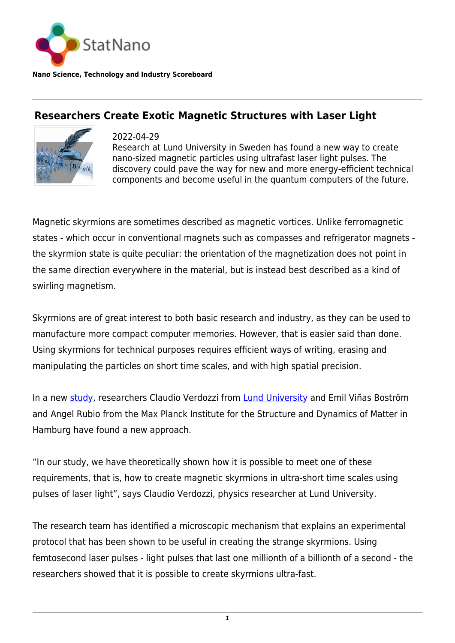

**Nano Science, Technology and Industry Scoreboard**

## **Researchers Create Exotic Magnetic Structures with Laser Light**



2022-04-29 Research at Lund University in Sweden has found a new way to create nano-sized magnetic particles using ultrafast laser light pulses. The discovery could pave the way for new and more energy-efficient technical components and become useful in the quantum computers of the future.

Magnetic skyrmions are sometimes described as magnetic vortices. Unlike ferromagnetic states - which occur in conventional magnets such as compasses and refrigerator magnets the skyrmion state is quite peculiar: the orientation of the magnetization does not point in the same direction everywhere in the material, but is instead best described as a kind of swirling magnetism.

Skyrmions are of great interest to both basic research and industry, as they can be used to manufacture more compact computer memories. However, that is easier said than done. Using skyrmions for technical purposes requires efficient ways of writing, erasing and manipulating the particles on short time scales, and with high spatial precision.

In a new [study,](https://www.nature.com/articles/s41524-022-00735-5) researchers Claudio Verdozzi from [Lund University](https://statnano.com/org/Lund-University) and Emil Viñas Boström and Angel Rubio from the Max Planck Institute for the Structure and Dynamics of Matter in Hamburg have found a new approach.

"In our study, we have theoretically shown how it is possible to meet one of these requirements, that is, how to create magnetic skyrmions in ultra-short time scales using pulses of laser light", says Claudio Verdozzi, physics researcher at Lund University.

The research team has identified a microscopic mechanism that explains an experimental protocol that has been shown to be useful in creating the strange skyrmions. Using femtosecond laser pulses - light pulses that last one millionth of a billionth of a second - the researchers showed that it is possible to create skyrmions ultra-fast.